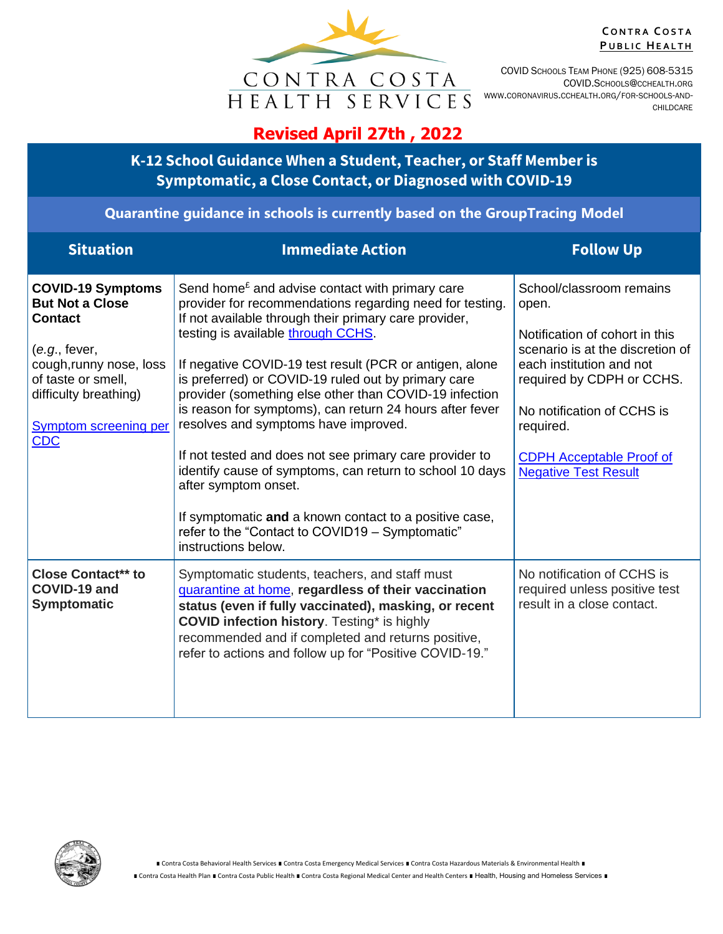

**C O N T R A C O S T A PUBLIC HEALTH** 

COVID SCHOOLS TEAM PHONE (925) 608-5315 COVID.SCHOOLS@CCHEALTH.ORG WWW.CORONAVIRUS.CCHEALTH.ORG/FOR-SCHOOLS-AND-CHILDCARE

## **Revised April 27th , 2022**

**K-12 School Guidance When a Student, Teacher, or Staff Member is Symptomatic, a Close Contact, or Diagnosed with COVID-19**

## **Quarantine guidance in schools is currently based on the GroupTracing Model**

| <b>Situation</b>                                                                                                                                                                                              | <b>Immediate Action</b>                                                                                                                                                                                                                                                                                                                                                                                                                                                                                                                                                                                                                                                                                                                                                                | <b>Follow Up</b>                                                                                                                                                                                                                                                              |
|---------------------------------------------------------------------------------------------------------------------------------------------------------------------------------------------------------------|----------------------------------------------------------------------------------------------------------------------------------------------------------------------------------------------------------------------------------------------------------------------------------------------------------------------------------------------------------------------------------------------------------------------------------------------------------------------------------------------------------------------------------------------------------------------------------------------------------------------------------------------------------------------------------------------------------------------------------------------------------------------------------------|-------------------------------------------------------------------------------------------------------------------------------------------------------------------------------------------------------------------------------------------------------------------------------|
| <b>COVID-19 Symptoms</b><br><b>But Not a Close</b><br><b>Contact</b><br>(e.g., fewer,<br>cough, runny nose, loss<br>of taste or smell,<br>difficulty breathing)<br><b>Symptom screening per</b><br><b>CDC</b> | Send home <sup><math>\epsilon</math></sup> and advise contact with primary care<br>provider for recommendations regarding need for testing.<br>If not available through their primary care provider,<br>testing is available through CCHS.<br>If negative COVID-19 test result (PCR or antigen, alone<br>is preferred) or COVID-19 ruled out by primary care<br>provider (something else other than COVID-19 infection<br>is reason for symptoms), can return 24 hours after fever<br>resolves and symptoms have improved.<br>If not tested and does not see primary care provider to<br>identify cause of symptoms, can return to school 10 days<br>after symptom onset.<br>If symptomatic and a known contact to a positive case,<br>refer to the "Contact to COVID19 - Symptomatic" | School/classroom remains<br>open.<br>Notification of cohort in this<br>scenario is at the discretion of<br>each institution and not<br>required by CDPH or CCHS.<br>No notification of CCHS is<br>required.<br><b>CDPH Acceptable Proof of</b><br><b>Negative Test Result</b> |
| <b>Close Contact** to</b><br>COVID-19 and<br><b>Symptomatic</b>                                                                                                                                               | instructions below.<br>Symptomatic students, teachers, and staff must<br>quarantine at home, regardless of their vaccination<br>status (even if fully vaccinated), masking, or recent<br><b>COVID infection history.</b> Testing* is highly<br>recommended and if completed and returns positive,<br>refer to actions and follow up for "Positive COVID-19."                                                                                                                                                                                                                                                                                                                                                                                                                           | No notification of CCHS is<br>required unless positive test<br>result in a close contact.                                                                                                                                                                                     |

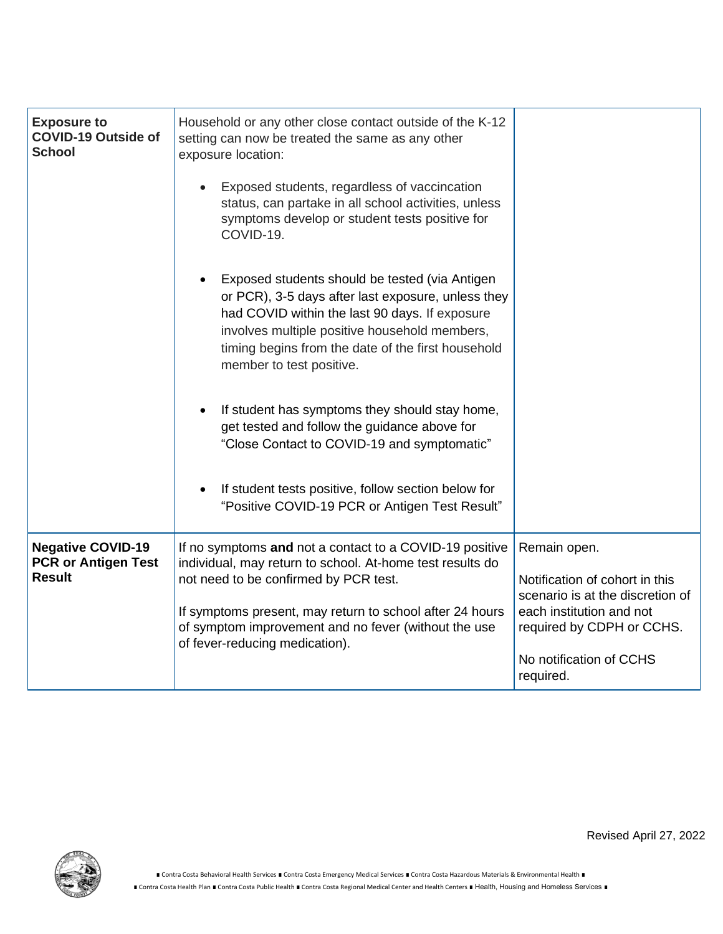| <b>Exposure to</b><br><b>COVID-19 Outside of</b><br><b>School</b>       | Household or any other close contact outside of the K-12<br>setting can now be treated the same as any other<br>exposure location:                                                                                                                                                                                  |                                                                                                                                             |
|-------------------------------------------------------------------------|---------------------------------------------------------------------------------------------------------------------------------------------------------------------------------------------------------------------------------------------------------------------------------------------------------------------|---------------------------------------------------------------------------------------------------------------------------------------------|
|                                                                         | Exposed students, regardless of vaccincation<br>status, can partake in all school activities, unless<br>symptoms develop or student tests positive for<br>COVID-19.                                                                                                                                                 |                                                                                                                                             |
|                                                                         | Exposed students should be tested (via Antigen<br>$\bullet$<br>or PCR), 3-5 days after last exposure, unless they<br>had COVID within the last 90 days. If exposure<br>involves multiple positive household members,<br>timing begins from the date of the first household<br>member to test positive.              |                                                                                                                                             |
|                                                                         | If student has symptoms they should stay home,<br>$\bullet$<br>get tested and follow the guidance above for<br>"Close Contact to COVID-19 and symptomatic"                                                                                                                                                          |                                                                                                                                             |
|                                                                         | If student tests positive, follow section below for<br>$\bullet$<br>"Positive COVID-19 PCR or Antigen Test Result"                                                                                                                                                                                                  |                                                                                                                                             |
| <b>Negative COVID-19</b><br><b>PCR or Antigen Test</b><br><b>Result</b> | If no symptoms and not a contact to a COVID-19 positive<br>individual, may return to school. At-home test results do<br>not need to be confirmed by PCR test.<br>If symptoms present, may return to school after 24 hours<br>of symptom improvement and no fever (without the use<br>of fever-reducing medication). | Remain open.<br>Notification of cohort in this<br>scenario is at the discretion of<br>each institution and not<br>required by CDPH or CCHS. |
|                                                                         |                                                                                                                                                                                                                                                                                                                     | No notification of CCHS<br>required.                                                                                                        |



Revised April 27, 2022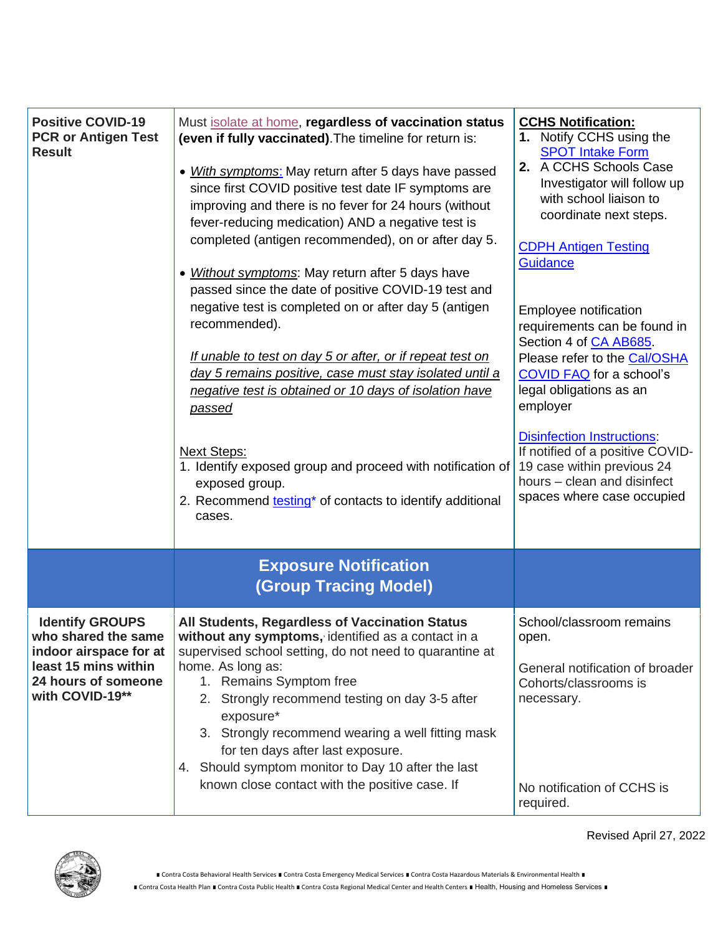| <b>Positive COVID-19</b><br><b>PCR or Antigen Test</b><br><b>Result</b>                                                                   | Must isolate at home, regardless of vaccination status<br>(even if fully vaccinated). The timeline for return is:<br>• With symptoms: May return after 5 days have passed<br>since first COVID positive test date IF symptoms are<br>improving and there is no fever for 24 hours (without<br>fever-reducing medication) AND a negative test is<br>completed (antigen recommended), on or after day 5.<br>• Without symptoms: May return after 5 days have<br>passed since the date of positive COVID-19 test and<br>negative test is completed on or after day 5 (antigen<br>recommended).<br>If unable to test on day 5 or after, or if repeat test on<br>day 5 remains positive, case must stay isolated until a<br>negative test is obtained or 10 days of isolation have<br><u>passed</u><br><b>Next Steps:</b><br>1. Identify exposed group and proceed with notification of<br>exposed group.<br>2. Recommend testing <sup>*</sup> of contacts to identify additional<br>cases. | <b>CCHS Notification:</b><br>1. Notify CCHS using the<br><b>SPOT Intake Form</b><br>2. A CCHS Schools Case<br>Investigator will follow up<br>with school liaison to<br>coordinate next steps.<br><b>CDPH Antigen Testing</b><br>Guidance<br>Employee notification<br>requirements can be found in<br>Section 4 of CA AB685.<br>Please refer to the Cal/OSHA<br>COVID FAQ for a school's<br>legal obligations as an<br>employer<br><b>Disinfection Instructions:</b><br>If notified of a positive COVID-<br>19 case within previous 24<br>hours - clean and disinfect<br>spaces where case occupied |
|-------------------------------------------------------------------------------------------------------------------------------------------|----------------------------------------------------------------------------------------------------------------------------------------------------------------------------------------------------------------------------------------------------------------------------------------------------------------------------------------------------------------------------------------------------------------------------------------------------------------------------------------------------------------------------------------------------------------------------------------------------------------------------------------------------------------------------------------------------------------------------------------------------------------------------------------------------------------------------------------------------------------------------------------------------------------------------------------------------------------------------------------|----------------------------------------------------------------------------------------------------------------------------------------------------------------------------------------------------------------------------------------------------------------------------------------------------------------------------------------------------------------------------------------------------------------------------------------------------------------------------------------------------------------------------------------------------------------------------------------------------|
|                                                                                                                                           | <b>Exposure Notification</b><br><b>(Group Tracing Model)</b>                                                                                                                                                                                                                                                                                                                                                                                                                                                                                                                                                                                                                                                                                                                                                                                                                                                                                                                           |                                                                                                                                                                                                                                                                                                                                                                                                                                                                                                                                                                                                    |
| <b>Identify GROUPS</b><br>who shared the same<br>indoor airspace for at<br>least 15 mins within<br>24 hours of someone<br>with COVID-19** | All Students, Regardless of Vaccination Status<br>without any symptoms, identified as a contact in a<br>supervised school setting, do not need to quarantine at<br>home. As long as:<br>1. Remains Symptom free<br>2. Strongly recommend testing on day 3-5 after<br>exposure*<br>3. Strongly recommend wearing a well fitting mask<br>for ten days after last exposure.<br>4. Should symptom monitor to Day 10 after the last<br>known close contact with the positive case. If                                                                                                                                                                                                                                                                                                                                                                                                                                                                                                       | School/classroom remains<br>open.<br>General notification of broader<br>Cohorts/classrooms is<br>necessary.<br>No notification of CCHS is<br>required.                                                                                                                                                                                                                                                                                                                                                                                                                                             |

Revised April 27, 2022



■ Contra Costa Health Plan ■ Contra Costa Public Health ■ Contra Costa Regional Medical Center and Health Centers ■ Health, Housing and Homeless Services ■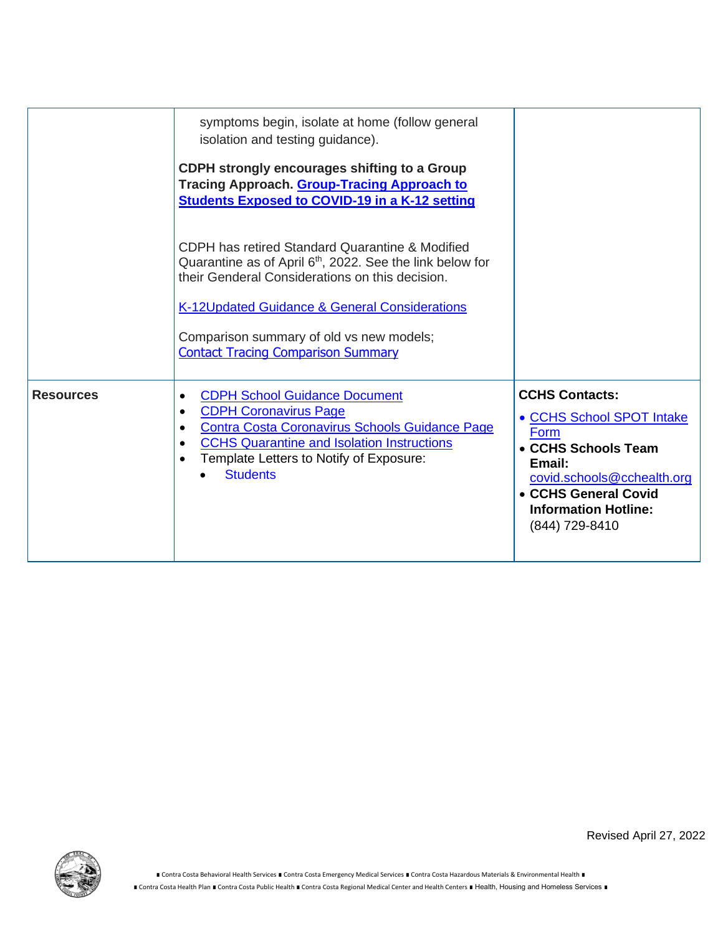|                  | symptoms begin, isolate at home (follow general<br>isolation and testing guidance).<br>CDPH strongly encourages shifting to a Group<br>Tracing Approach. Group-Tracing Approach to<br><b>Students Exposed to COVID-19 in a K-12 setting</b><br>CDPH has retired Standard Quarantine & Modified<br>Quarantine as of April 6 <sup>th</sup> , 2022. See the link below for<br>their Genderal Considerations on this decision.<br>K-12Updated Guidance & General Considerations<br>Comparison summary of old vs new models;<br><b>Contact Tracing Comparison Summary</b> |                                                                                                                                                                                                    |
|------------------|----------------------------------------------------------------------------------------------------------------------------------------------------------------------------------------------------------------------------------------------------------------------------------------------------------------------------------------------------------------------------------------------------------------------------------------------------------------------------------------------------------------------------------------------------------------------|----------------------------------------------------------------------------------------------------------------------------------------------------------------------------------------------------|
| <b>Resources</b> | <b>CDPH School Guidance Document</b><br><b>CDPH Coronavirus Page</b><br>Contra Costa Coronavirus Schools Guidance Page<br><b>CCHS Quarantine and Isolation Instructions</b><br>Template Letters to Notify of Exposure:<br><b>Students</b>                                                                                                                                                                                                                                                                                                                            | <b>CCHS Contacts:</b><br>• CCHS School SPOT Intake<br>Form<br>• CCHS Schools Team<br>Email:<br>covid.schools@cchealth.org<br>• CCHS General Covid<br><b>Information Hotline:</b><br>(844) 729-8410 |